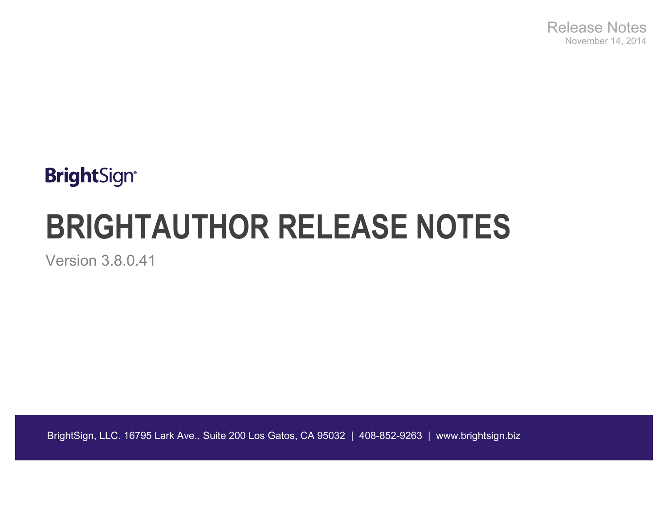# **BrightSign®**

# **BRIGHTAUTHOR RELEASE NOTES**

Version 3.8.0.41

BrightSign, LLC. 16795 Lark Ave., Suite 200 Los Gatos, CA 95032 | 408-852-9263 | www.brightsign.biz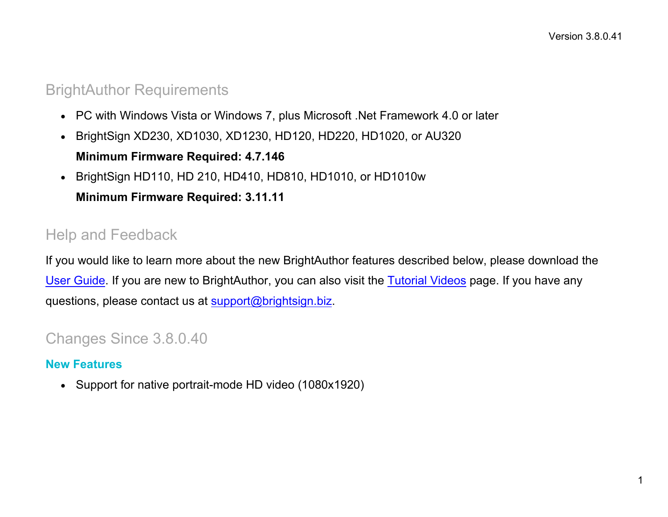#### BrightAuthor Requirements

- PC with Windows Vista or Windows 7, plus Microsoft .Net Framework 4.0 or later
- BrightSign XD230, XD1030, XD1230, HD120, HD220, HD1020, or AU320 **Minimum Firmware Required: 4.7.146**
- BrightSign HD110, HD 210, HD410, HD810, HD1010, or HD1010w

**Minimum Firmware Required: 3.11.11**

## Help and Feedback

If you would like to learn more about the new BrightAuthor features described below, please download the [User Guide.](http://support.brightsign.biz/entries/314526-brightsign-user-guides-troubleshooting) If you are new to BrightAuthor, you can also visit the [Tutorial Videos](http://www.brightsign.biz/tutorials.php) page. If you have any questions, please contact us at [support@brightsign.biz.](mailto:support@brightsign.biz)

## Changes Since 3.8.0.40

#### **New Features**

• Support for native portrait-mode HD video (1080x1920)